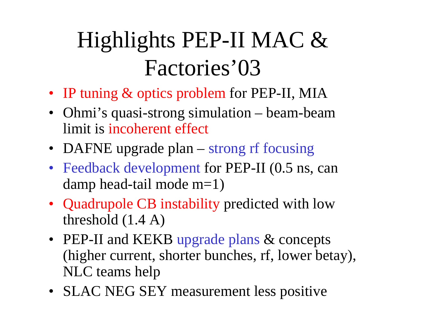# Highlights PEP-II MAC & Factories'03

- IP tuning & optics problem for PEP-II, MIA
- Ohmi's quasi-strong simulation beam-beam limit is incoherent effect
- DAFNE upgrade plan strong rf focusing
- Feedback development for PEP-II (0.5 ns, can damp head-tail mode m=1)
- Quadrupole CB instability predicted with low threshold (1.4 A)
- PEP-II and KEKB upgrade plans & concepts (higher current, shorter bunches, rf, lower betay), NLC teams help
- SLAC NEG SEY measurement less positive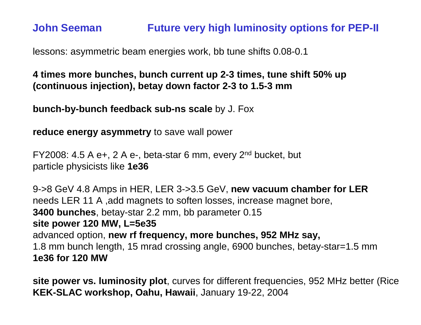### **John Seeman Future very high luminosity options for PEP-II**

lessons: asymmetric beam energies work, bb tune shifts 0.08-0.1

**4 times more bunches, bunch current up 2-3 times, tune shift 50% up (continuous injection), betay down factor 2-3 to 1.5-3 mm**

**bunch-by-bunch feedback sub-ns scale** by J. Fox

**reduce energy asymmetry** to save wall power

FY2008: 4.5 A e+, 2 A e-, beta-star 6 mm, every 2nd bucket, but particle physicists like **1e36**

9->8 GeV 4.8 Amps in HER, LER 3->3.5 GeV, **new vacuum chamber for LER** needs LER 11 A ,add magnets to soften losses, increase magnet bore, **3400 bunches**, betay-star 2.2 mm, bb parameter 0.15 **site power 120 MW, L=5e35** advanced option, **new rf frequency, more bunches, 952 MHz say,** 1.8 mm bunch length, 15 mrad crossing angle, 6900 bunches, betay-star=1.5 mm **1e36 for 120 MW**

**site power vs. luminosity plot**, curves for different frequencies, 952 MHz better (Rice l **KEK-SLAC workshop, Oahu, Hawaii**, January 19-22, 2004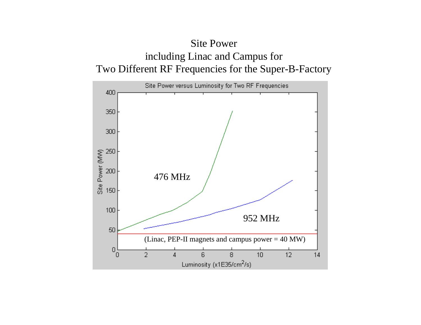

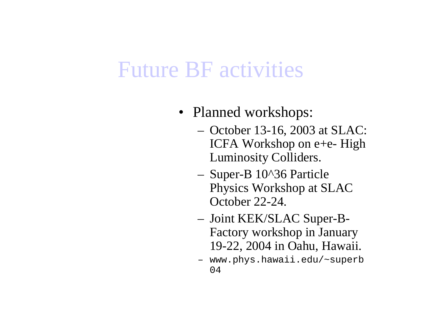## Future BF activities

- Planned workshops:
	- October 13-16, 2003 at SLAC: ICFA Workshop on e+e- High Luminosity Colliders.
	- Super-B 10^36 Particle Physics Workshop at SLAC October 22-24.
	- Joint KEK/SLAC Super-B-Factory workshop in January 19-22, 2004 in Oahu, Hawaii.
	- www.phys.hawaii.edu/~superb 04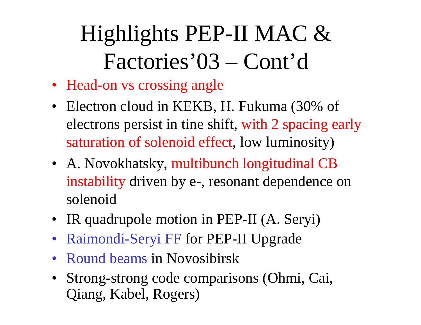# Highlights PEP-II MAC & Factories'03 – Cont'd

- Head-on vs crossing angle
- Electron cloud in KEKB, H. Fukuma (30% of electrons persist in tine shift, with 2 spacing early saturation of solenoid effect, low luminosity)
- A. Novokhatsky, multibunch longitudinal CB instability driven by e-, resonant dependence on solenoid
- IR quadrupole motion in PEP-II (A. Seryi)
- Raimondi-Seryi FF for PEP-II Upgrade
- Round beams in Novosibirsk
- Strong-strong code comparisons (Ohmi, Cai, Qiang, Kabel, Rogers)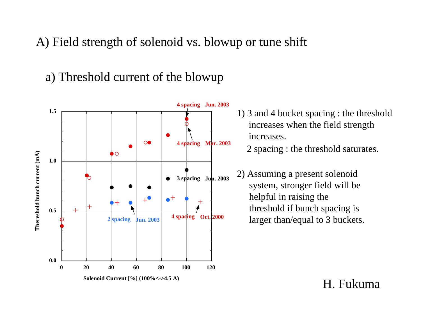A) Field strength of solenoid vs. blowup or tune shift

a) Threshold current of the blowup



1) 3 and 4 bucket spacing : the threshold increases when the field strength increases.

2 spacing : the threshold saturates.

2) Assuming a present solenoid system, stronger field will be helpful in raising the threshold if bunch spacing is larger than/equal to 3 buckets.

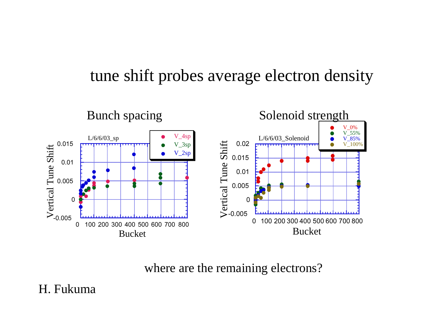## tune shift probes average electron density



where are the remaining electrons?

H. Fukuma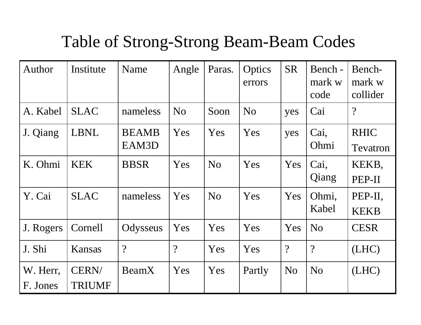## Table of Strong-Strong Beam-Beam Codes

| Author               | Institute              | Name                  | Angle          | Paras.         | Optics<br>errors | <b>SR</b>                | Bench -<br>mark w<br>code | Bench-<br>mark w<br>collider |
|----------------------|------------------------|-----------------------|----------------|----------------|------------------|--------------------------|---------------------------|------------------------------|
| A. Kabel             | <b>SLAC</b>            | nameless              | N <sub>o</sub> | Soon           | N <sub>o</sub>   | yes                      | Cai                       | $\overline{\mathcal{L}}$     |
| J. Qiang             | <b>LBNL</b>            | <b>BEAMB</b><br>EAM3D | Yes            | Yes            | Yes              | yes                      | Cai,<br>Ohmi              | <b>RHIC</b><br>Tevatron      |
| K. Ohmi              | <b>KEK</b>             | <b>BBSR</b>           | Yes            | N <sub>o</sub> | Yes              | Yes                      | Cai,<br>Qiang             | KEKB,<br>PEP-II              |
| Y. Cai               | <b>SLAC</b>            | nameless              | Yes            | N <sub>o</sub> | Yes              | Yes                      | Ohmi,<br>Kabel            | PEP-II.<br><b>KEKB</b>       |
| J. Rogers            | Cornell                | Odysseus              | Yes            | Yes            | Yes              | Yes                      | N <sub>o</sub>            | <b>CESR</b>                  |
| J. Shi               | Kansas                 | $\gamma$              | $\gamma$       | Yes            | Yes              | $\overline{\mathcal{C}}$ | $\overline{?}$            | (LHC)                        |
| W. Herr,<br>F. Jones | CERN/<br><b>TRIUMF</b> | <b>BeamX</b>          | Yes            | Yes            | Partly           | N <sub>o</sub>           | N <sub>o</sub>            | (LHC)                        |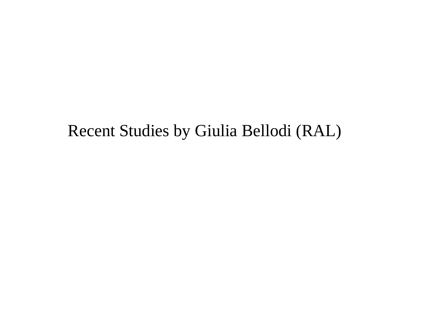## Recent Studies by Giulia Bellodi (RAL)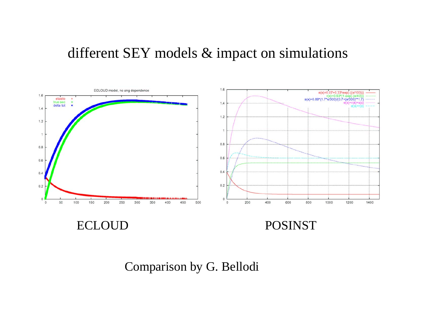## different SEY models & impact on simulations



ECLOUD POSINST

Comparison by G. Bellodi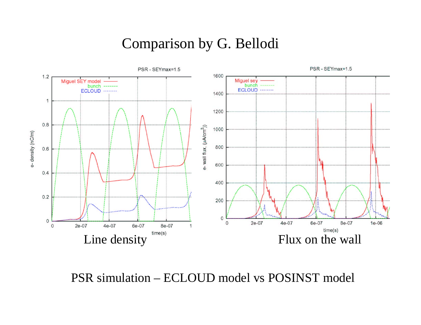## Comparison by G. Bellodi



PSR simulation – ECLOUD model vs POSINST model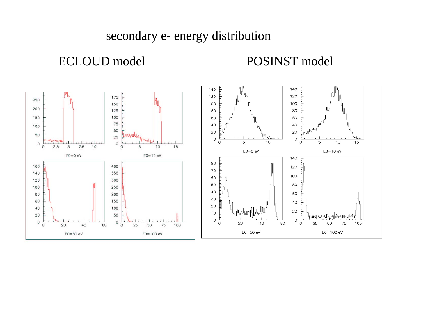## secondary e- energy distribution

## ECLOUD model POSINST model

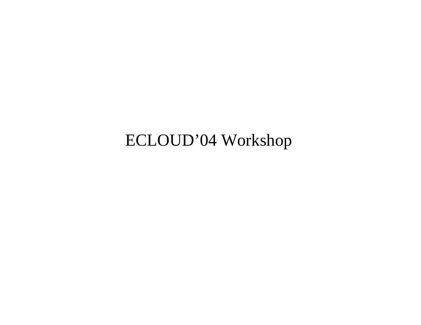## ECLOUD'04 Workshop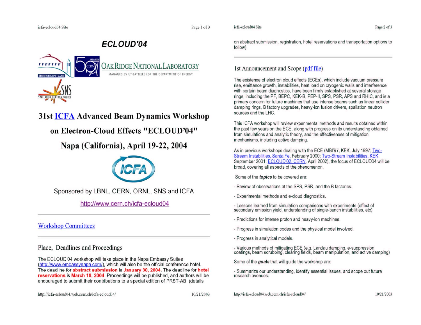Page 1 of 3

Page 2 of 3

### ECLOUD'04



### 31st ICFA Advanced Beam Dynamics Workshop

### on Electron-Cloud Effects "ECLOUD'04"

Napa (California), April 19-22, 2004



Sponsored by LBNL, CERN, ORNL, SNS and ICFA

http://www.cern.ch/icfa-ecloud04

### **Workshop Committees**

### Place, Deadlines and Proceedings

The ECLOUD'04 workshop will take place in the Napa Embassy Suites (http://www.embassynapa.com/), which will also be the official conference hotel. The deadline for abstract submission is January 30, 2004. The deadline for hotel reservations is March 18, 2004. Proceedings will be published, and authors will be encouraged to submit their contributions to a special edition of PRST-AB (details

http://icfa-ecloud04.web.cern.ch/icfa-ecloud04/

on abstract submission, registration, hotel reservations and transportation options to follow).

### 1st Announcement and Scope (pdf file)

icfa-ecloud04 Site

The existence of electron cloud effects (ECEs), which include vacuum pressure rise, emittance growth, instabilities, heat load on cryogenic walls and interference with certain beam diagnostics, have been firmly established at several storage rings, including the PF, BEPC, KEK-B, PEP-II, SPS, PSR, APS and RHIC, and is a primary concern for future machines that use intense beams such as linear collider damping rings, B factory upgrades, heavy-ion fusion drivers, spallation neutron sources and the LHC.

This ICFA workshop will review experimental methods and results obtained within the past few years on the ECE, along with progress on its understanding obtained from simulations and analytic theory, and the effectiveness of mitigation mechanisms, including active damping.

As in previous workshops dealing with the ECE (MBI'97, KEK, July 1997; Two-Stream Instabilities, Santa Fe, February 2000; Two-Stream Instabilities, KEK. September 2001; ECLOUD'02, CERN, April 2002), the focus of ECLOUD04 will be broad, covering all aspects of the phenomenon.

Some of the **topics** to be covered are:

- Review of observations at the SPS, PSR, and the B factories.
- Experimental methods and e-cloud diagnostics.
- Lessons learned from simulation comparisons with experiments (effect of secondary emission yield, understanding of single-bunch instabilities, etc)
- Predictions for intense proton and heavy-ion machines.
- Progress in simulation codes and the physical model involved.
- Progress in analytical models.
- Various methods of mitigating ECE (e.g. Landau damping, e-suppression coatings, beam scrubbing, clearing fields, beam manipulation, and active damping)

Some of the goals that will quide the workshop are:

- Summarize our understanding, identify essential issues, and scope out future research avenues.

http://icfa-ecloud04.web.cern.ch/icfa-ecloud04/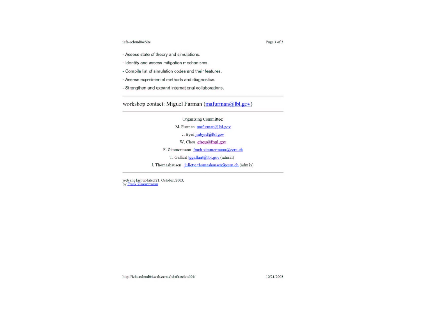icfa-ecloud04 Site

- Assess state of theory and simulations.
- Identify and assess mitigation mechanisms.
- Compile list of simulation codes and their features.
- Assess experimental methods and diagnostics.
- Strengthen and expand international collaborations.

workshop contact: Miguel Furman (mafurman@lbl.gov)

Organizing Committee: M. Furman mafurman@lbl.gov J. Byrd jmbyrd@lbl.gov W. Chou chou@fnal.gov F. Zimmermann frank.zimmermann@cem.ch T. Gallant tggallant@lbl.gov (admin) J. Thomashausen juliette.thomashausen@cern.ch (admin)

web site last updated 21. October, 2003,<br>by Frank Zimmermann

http://icfa-ecloud04.web.cem.ch/icfa-ecloud04/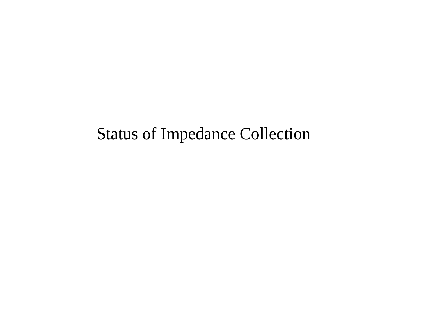## Status of Impedance Collection